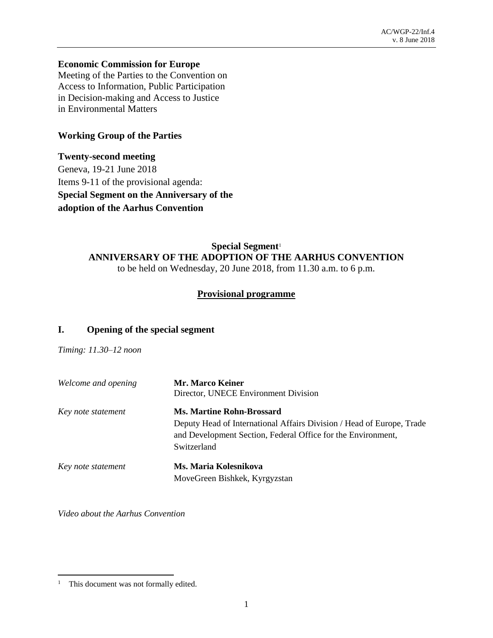### **Economic Commission for Europe**

Meeting of the Parties to the Convention on Access to Information, Public Participation in Decision-making and Access to Justice in Environmental Matters

# **Working Group of the Parties**

**Twenty-second meeting** Geneva, 19-21 June 2018 Items 9-11 of the provisional agenda: **Special Segment on the Anniversary of the adoption of the Aarhus Convention**

# **Special Segment**<sup>1</sup> **ANNIVERSARY OF THE ADOPTION OF THE AARHUS CONVENTION** to be held on Wednesday, 20 June 2018, from 11.30 a.m. to 6 p.m.

# **Provisional programme**

# **I. Opening of the special segment**

*Timing: 11.30–12 noon*

| Welcome and opening | Mr. Marco Keiner                                                      |
|---------------------|-----------------------------------------------------------------------|
|                     | Director, UNECE Environment Division                                  |
| Key note statement  | <b>Ms. Martine Rohn-Brossard</b>                                      |
|                     | Deputy Head of International Affairs Division / Head of Europe, Trade |
|                     | and Development Section, Federal Office for the Environment,          |
|                     | Switzerland                                                           |
| Key note statement  | Ms. Maria Kolesnikova                                                 |
|                     | MoveGreen Bishkek, Kyrgyzstan                                         |

*Video about the Aarhus Convention*

l <sup>1</sup> This document was not formally edited.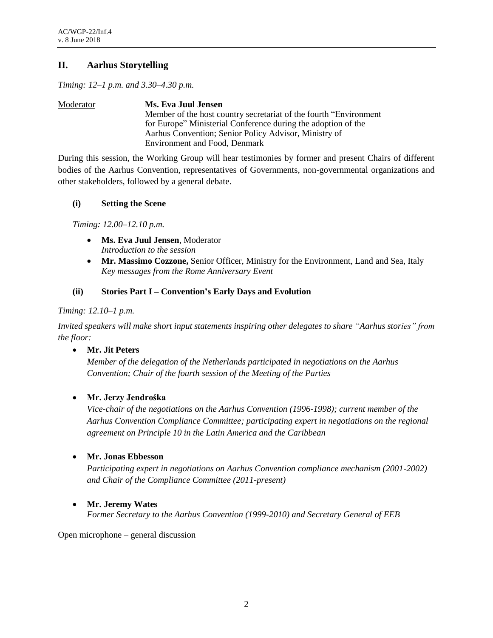# **II. Aarhus Storytelling**

*Timing: 12–1 p.m. and 3.30–4.30 p.m.*

Moderator **Ms. Eva Juul Jensen** Member of the host country secretariat of the fourth "Environment for Europe" Ministerial Conference during the adoption of the Aarhus Convention; Senior Policy Advisor, Ministry of Environment and Food, Denmark

During this session, the Working Group will hear testimonies by former and present Chairs of different bodies of the Aarhus Convention, representatives of Governments, non-governmental organizations and other stakeholders, followed by a general debate.

#### **(i) Setting the Scene**

*Timing: 12.00–12.10 p.m.*

- **Ms. Eva Juul Jensen**, Moderator *Introduction to the session*
- **Mr. Massimo Cozzone,** Senior Officer, Ministry for the Environment, Land and Sea, Italy *Key messages from the Rome Anniversary Event*

### **(ii) Stories Part I – Convention's Early Days and Evolution**

#### *Timing: 12.10–1 p.m.*

*Invited speakers will make short input statements inspiring other delegates to share "Aarhus stories" from the floor:*

• **Mr. Jit Peters**

*Member of the delegation of the Netherlands participated in negotiations on the Aarhus Convention; Chair of the fourth session of the Meeting of the Parties*

#### • **Mr. Jerzy Jendrośka**

*Vice-chair of the negotiations on the Aarhus Convention (1996-1998); current member of the Aarhus Convention Compliance Committee; participating expert in negotiations on the regional agreement on Principle 10 in the Latin America and the Caribbean* 

# • **Mr. Jonas Ebbesson**

*Participating expert in negotiations on Aarhus Convention compliance mechanism (2001-2002) and Chair of the Compliance Committee (2011-present)*

#### • **Mr. Jeremy Wates**

*Former Secretary to the Aarhus Convention (1999-2010) and Secretary General of EEB*

Open microphone – general discussion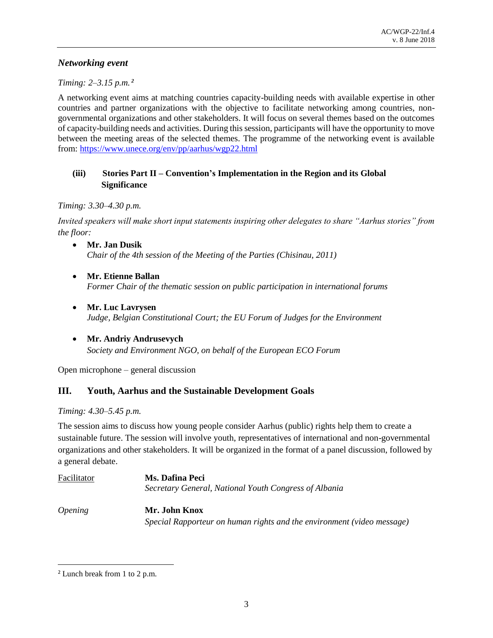# *Networking event*

### *Timing: 2–3.15 p.m. <sup>2</sup>*

A networking event aims at matching countries capacity-building needs with available expertise in other countries and partner organizations with the objective to facilitate networking among countries, nongovernmental organizations and other stakeholders. It will focus on several themes based on the outcomes of capacity-building needs and activities. During this session, participants will have the opportunity to move between the meeting areas of the selected themes. The programme of the networking event is available from:<https://www.unece.org/env/pp/aarhus/wgp22.html>

# **(iii) Stories Part II – Convention's Implementation in the Region and its Global Significance**

### *Timing: 3.30–4.30 p.m.*

*Invited speakers will make short input statements inspiring other delegates to share "Aarhus stories" from the floor:*

- **Mr. Jan Dusik**  *Chair of the 4th session of the Meeting of the Parties (Chisinau, 2011)*
- **Mr. Etienne Ballan**  *Former Chair of the thematic session on public participation in international forums*
- **Mr. Luc Lavrysen** *Judge, Belgian Constitutional Court; the EU Forum of Judges for the Environment*
- **Mr. Andriy Andrusevych** *Society and Environment NGO, on behalf of the European ECO Forum*

Open microphone – general discussion

# **III. Youth, Aarhus and the Sustainable Development Goals**

#### *Timing: 4.30–5.45 p.m.*

The session aims to discuss how young people consider Aarhus (public) rights help them to create a sustainable future. The session will involve youth, representatives of international and non-governmental organizations and other stakeholders. It will be organized in the format of a panel discussion, followed by a general debate.

| Ms. Dafina Peci<br>Secretary General, National Youth Congress of Albania                |
|-----------------------------------------------------------------------------------------|
| Mr. John Knox<br>Special Rapporteur on human rights and the environment (video message) |
|                                                                                         |

 $\overline{a}$ 

<sup>2</sup> Lunch break from 1 to 2 p.m.